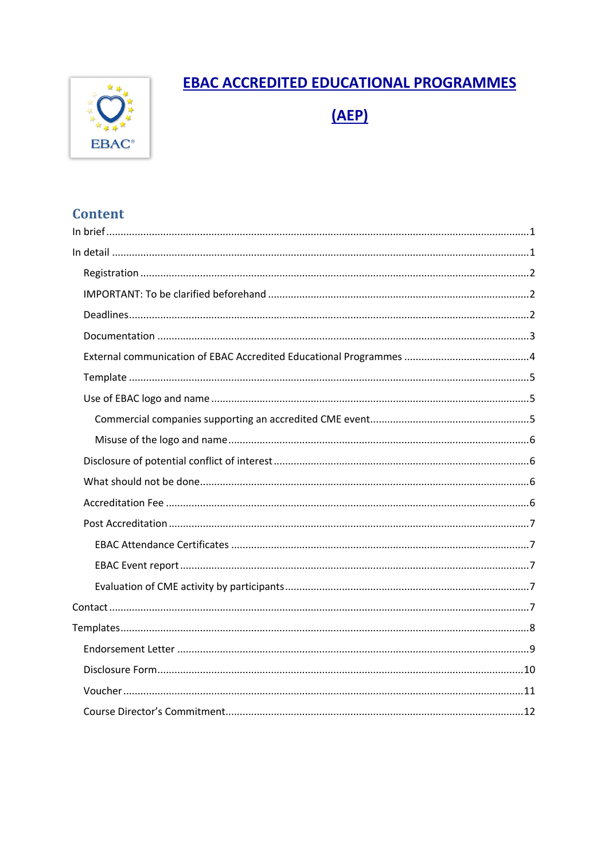

# **EBAC ACCREDITED EDUCATIONAL PROGRAMMES**

(AEP)

# **Content**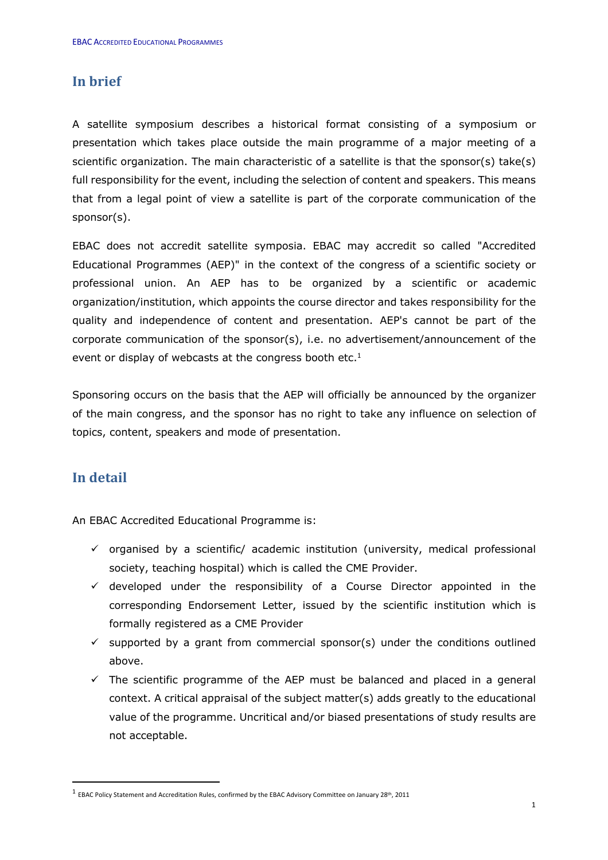# **In brief**

A satellite symposium describes a historical format consisting of a symposium or presentation which takes place outside the main programme of a major meeting of a scientific organization. The main characteristic of a satellite is that the sponsor(s) take(s) full responsibility for the event, including the selection of content and speakers. This means that from a legal point of view a satellite is part of the corporate communication of the sponsor(s).

EBAC does not accredit satellite symposia. EBAC may accredit so called "Accredited Educational Programmes (AEP)" in the context of the congress of a scientific society or professional union. An AEP has to be organized by a scientific or academic organization/institution, which appoints the course director and takes responsibility for the quality and independence of content and presentation. AEP's cannot be part of the corporate communication of the sponsor(s), i.e. no advertisement/announcement of the event or display of webcasts at the congress booth etc.<sup>1</sup>

Sponsoring occurs on the basis that the AEP will officially be announced by the organizer of the main congress, and the sponsor has no right to take any influence on selection of topics, content, speakers and mode of presentation.

# **In detail**

An EBAC Accredited Educational Programme is:

- $\checkmark$  organised by a scientific/ academic institution (university, medical professional society, teaching hospital) which is called the CME Provider.
- $\checkmark$  developed under the responsibility of a Course Director appointed in the corresponding Endorsement Letter, issued by the scientific institution which is formally registered as a CME Provider
- $\checkmark$  supported by a grant from commercial sponsor(s) under the conditions outlined above.
- $\checkmark$  The scientific programme of the AEP must be balanced and placed in a general context. A critical appraisal of the subject matter(s) adds greatly to the educational value of the programme. Uncritical and/or biased presentations of study results are not acceptable.

 $1$  EBAC Policy Statement and Accreditation Rules, confirmed by the EBAC Advisory Committee on January 28<sup>th</sup>, 2011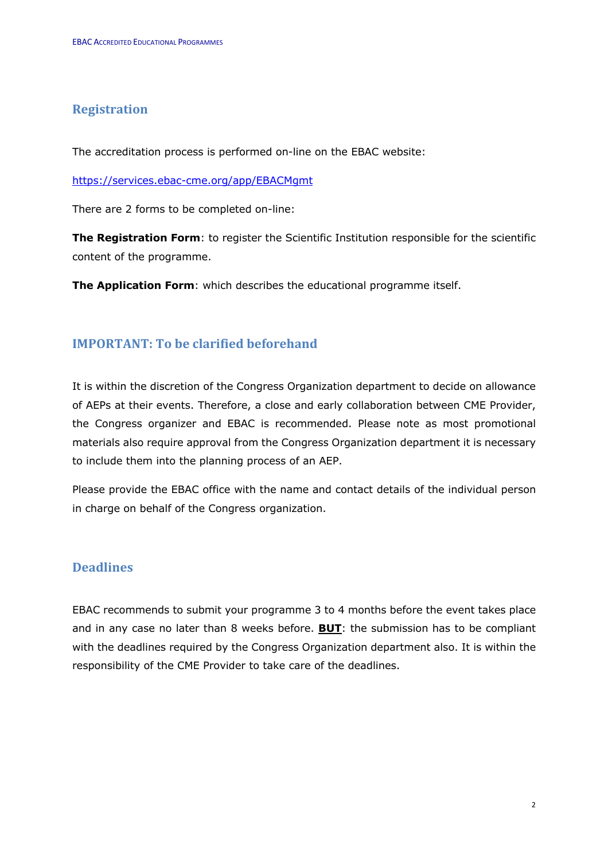## **Registration**

The accreditation process is performed on-line on the EBAC website:

https://services.ebac-cme.org/app/EBACMgmt

There are 2 forms to be completed on-line:

**The Registration Form**: to register the Scientific Institution responsible for the scientific content of the programme.

**The Application Form**: which describes the educational programme itself.

## **IMPORTANT:** To be clarified beforehand

It is within the discretion of the Congress Organization department to decide on allowance of AEPs at their events. Therefore, a close and early collaboration between CME Provider, the Congress organizer and EBAC is recommended. Please note as most promotional materials also require approval from the Congress Organization department it is necessary to include them into the planning process of an AEP.

Please provide the EBAC office with the name and contact details of the individual person in charge on behalf of the Congress organization.

## **Deadlines**

EBAC recommends to submit your programme 3 to 4 months before the event takes place and in any case no later than 8 weeks before. **BUT**: the submission has to be compliant with the deadlines required by the Congress Organization department also. It is within the responsibility of the CME Provider to take care of the deadlines.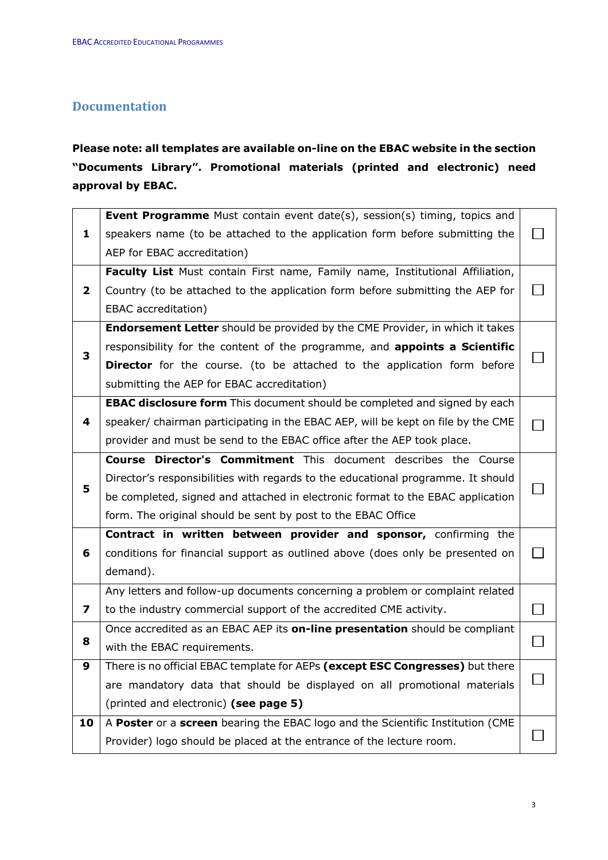## **Documentation**

**Please note: all templates are available on-line on the EBAC website in the section "Documents Library". Promotional materials (printed and electronic) need approval by EBAC.**

| 1                       | <b>Event Programme</b> Must contain event date(s), session(s) timing, topics and    |  |
|-------------------------|-------------------------------------------------------------------------------------|--|
|                         | speakers name (to be attached to the application form before submitting the         |  |
|                         | AEP for EBAC accreditation)                                                         |  |
| $\overline{\mathbf{2}}$ | Faculty List Must contain First name, Family name, Institutional Affiliation,       |  |
|                         | Country (to be attached to the application form before submitting the AEP for       |  |
|                         | EBAC accreditation)                                                                 |  |
| 3                       | <b>Endorsement Letter</b> should be provided by the CME Provider, in which it takes |  |
|                         | responsibility for the content of the programme, and appoints a Scientific          |  |
|                         | <b>Director</b> for the course. (to be attached to the application form before      |  |
|                         | submitting the AEP for EBAC accreditation)                                          |  |
|                         | <b>EBAC disclosure form</b> This document should be completed and signed by each    |  |
| 4                       | speaker/ chairman participating in the EBAC AEP, will be kept on file by the CME    |  |
|                         | provider and must be send to the EBAC office after the AEP took place.              |  |
| 5                       | <b>Course Director's Commitment</b> This document describes the Course              |  |
|                         | Director's responsibilities with regards to the educational programme. It should    |  |
|                         | be completed, signed and attached in electronic format to the EBAC application      |  |
|                         | form. The original should be sent by post to the EBAC Office                        |  |
|                         |                                                                                     |  |
|                         | Contract in written between provider and sponsor, confirming the                    |  |
| 6                       | conditions for financial support as outlined above (does only be presented on       |  |
|                         | demand).                                                                            |  |
|                         | Any letters and follow-up documents concerning a problem or complaint related       |  |
| 7                       | to the industry commercial support of the accredited CME activity.                  |  |
|                         | Once accredited as an EBAC AEP its on-line presentation should be compliant         |  |
| 8                       | with the EBAC requirements.                                                         |  |
| 9                       | There is no official EBAC template for AEPs (except ESC Congresses) but there       |  |
|                         | are mandatory data that should be displayed on all promotional materials            |  |
|                         | (printed and electronic) (see page 5)                                               |  |
| 10                      | A Poster or a screen bearing the EBAC logo and the Scientific Institution (CME      |  |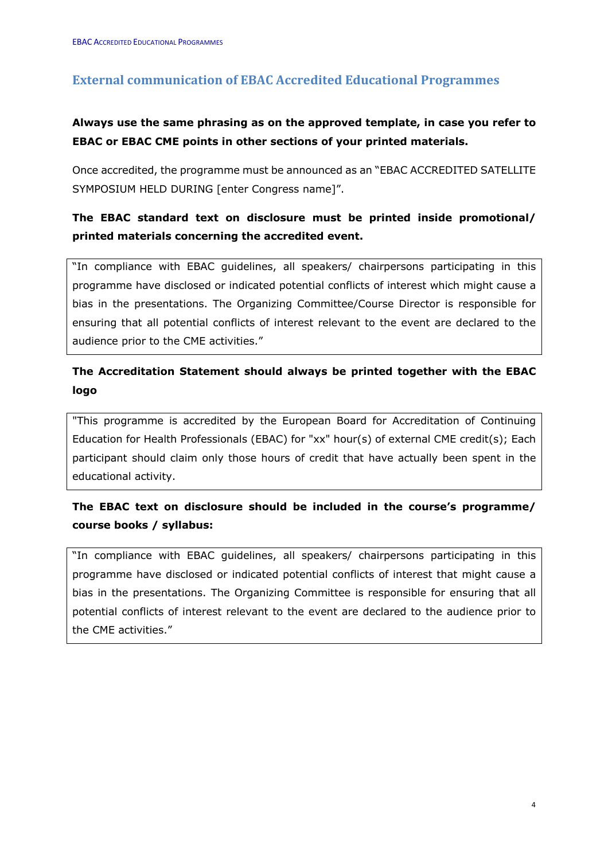## **External communication of EBAC Accredited Educational Programmes**

# **Always use the same phrasing as on the approved template, in case you refer to EBAC or EBAC CME points in other sections of your printed materials.**

Once accredited, the programme must be announced as an "EBAC ACCREDITED SATELLITE SYMPOSIUM HELD DURING [enter Congress name]".

# **The EBAC standard text on disclosure must be printed inside promotional/ printed materials concerning the accredited event.**

"In compliance with EBAC guidelines, all speakers/ chairpersons participating in this programme have disclosed or indicated potential conflicts of interest which might cause a bias in the presentations. The Organizing Committee/Course Director is responsible for ensuring that all potential conflicts of interest relevant to the event are declared to the audience prior to the CME activities."

# **The Accreditation Statement should always be printed together with the EBAC logo**

"This programme is accredited by the European Board for Accreditation of Continuing Education for Health Professionals (EBAC) for "xx" hour(s) of external CME credit(s); Each participant should claim only those hours of credit that have actually been spent in the educational activity.

# **The EBAC text on disclosure should be included in the course's programme/ course books / syllabus:**

"In compliance with EBAC guidelines, all speakers/ chairpersons participating in this programme have disclosed or indicated potential conflicts of interest that might cause a bias in the presentations. The Organizing Committee is responsible for ensuring that all potential conflicts of interest relevant to the event are declared to the audience prior to the CME activities."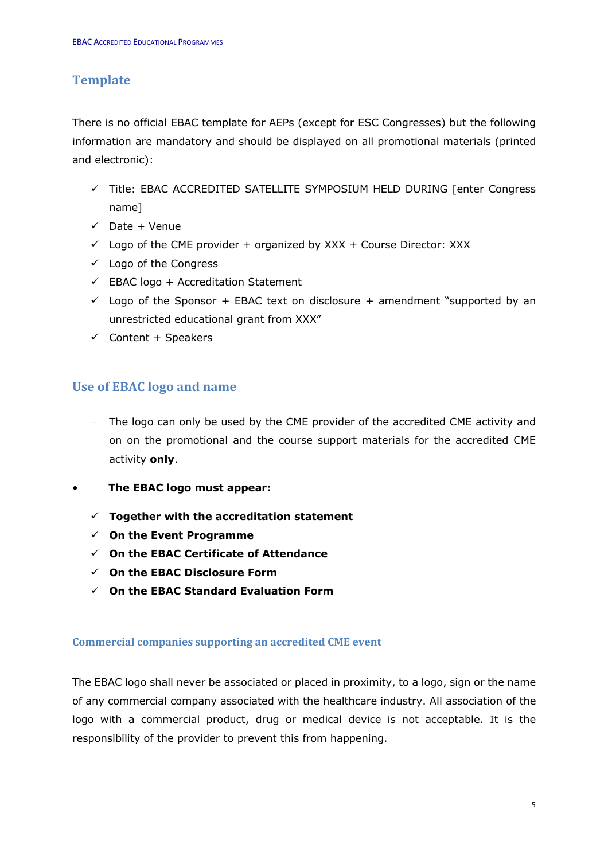# **Template**

There is no official EBAC template for AEPs (except for ESC Congresses) but the following information are mandatory and should be displayed on all promotional materials (printed and electronic):

- $\checkmark$  Title: EBAC ACCREDITED SATELLITE SYMPOSIUM HELD DURING [enter Congress name]
- $\checkmark$  Date + Venue
- $\checkmark$  Logo of the CME provider + organized by XXX + Course Director: XXX
- $\checkmark$  Logo of the Congress
- $\checkmark$  EBAC logo + Accreditation Statement
- $\checkmark$  Logo of the Sponsor + EBAC text on disclosure + amendment "supported by an unrestricted educational grant from XXX"
- $\checkmark$  Content + Speakers

## **Use of EBAC logo and name**

- The logo can only be used by the CME provider of the accredited CME activity and on on the promotional and the course support materials for the accredited CME activity **only**.
- **The EBAC logo must appear:**
	- $\checkmark$  Together with the accreditation statement
	- $\checkmark$  On the Event Programme
	- ü **On the EBAC Certificate of Attendance**
	- ü **On the EBAC Disclosure Form**
	- ü **On the EBAC Standard Evaluation Form**

#### **Commercial companies supporting an accredited CME event**

The EBAC logo shall never be associated or placed in proximity, to a logo, sign or the name of any commercial company associated with the healthcare industry. All association of the logo with a commercial product, drug or medical device is not acceptable. It is the responsibility of the provider to prevent this from happening.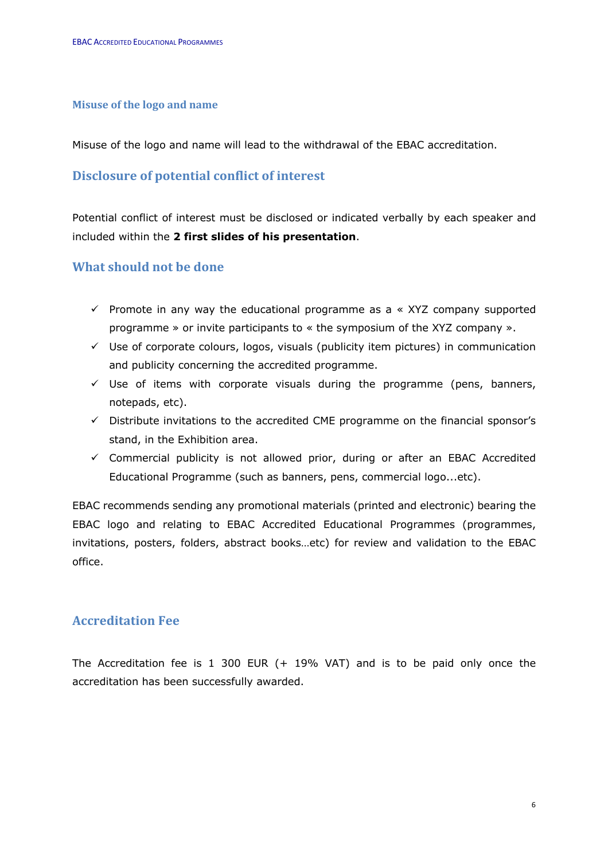#### **Misuse of the logo and name**

Misuse of the logo and name will lead to the withdrawal of the EBAC accreditation.

### **Disclosure of potential conflict of interest**

Potential conflict of interest must be disclosed or indicated verbally by each speaker and included within the **2 first slides of his presentation**.

#### **What should not be done**

- $\checkmark$  Promote in any way the educational programme as a « XYZ company supported programme » or invite participants to « the symposium of the XYZ company ».
- $\checkmark$  Use of corporate colours, logos, visuals (publicity item pictures) in communication and publicity concerning the accredited programme.
- $\checkmark$  Use of items with corporate visuals during the programme (pens, banners, notepads, etc).
- $\checkmark$  Distribute invitations to the accredited CME programme on the financial sponsor's stand, in the Exhibition area.
- $\checkmark$  Commercial publicity is not allowed prior, during or after an EBAC Accredited Educational Programme (such as banners, pens, commercial logo...etc).

EBAC recommends sending any promotional materials (printed and electronic) bearing the EBAC logo and relating to EBAC Accredited Educational Programmes (programmes, invitations, posters, folders, abstract books…etc) for review and validation to the EBAC office.

## **Accreditation Fee**

The Accreditation fee is 1 300 EUR (+ 19% VAT) and is to be paid only once the accreditation has been successfully awarded.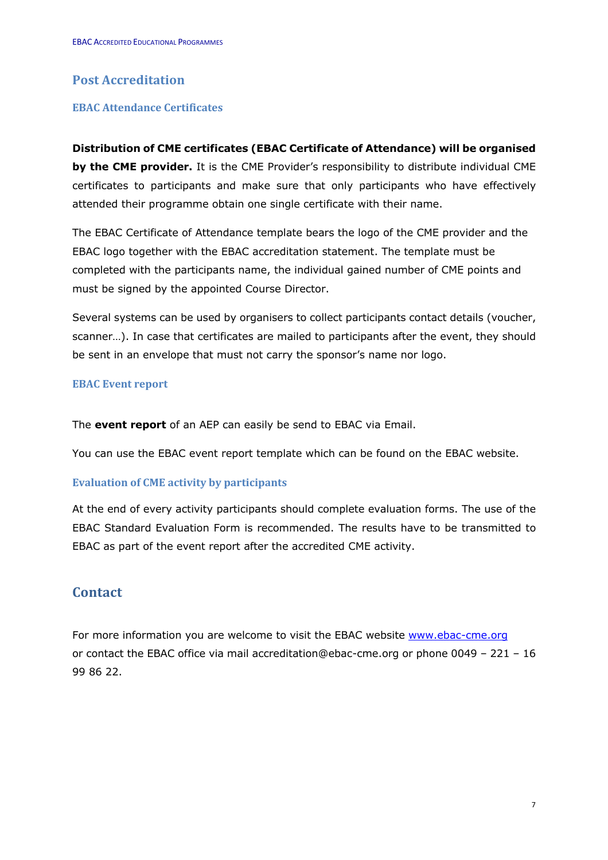## **Post Accreditation**

#### **EBAC Attendance Certificates**

#### **Distribution of CME certificates (EBAC Certificate of Attendance) will be organised**

**by the CME provider.** It is the CME Provider's responsibility to distribute individual CME certificates to participants and make sure that only participants who have effectively attended their programme obtain one single certificate with their name.

The EBAC Certificate of Attendance template bears the logo of the CME provider and the EBAC logo together with the EBAC accreditation statement. The template must be completed with the participants name, the individual gained number of CME points and must be signed by the appointed Course Director.

Several systems can be used by organisers to collect participants contact details (voucher, scanner…). In case that certificates are mailed to participants after the event, they should be sent in an envelope that must not carry the sponsor's name nor logo.

#### **EBAC** Event report

The **event report** of an AEP can easily be send to EBAC via Email.

You can use the EBAC event report template which can be found on the EBAC website.

#### **Evaluation of CME activity by participants**

At the end of every activity participants should complete evaluation forms. The use of the EBAC Standard Evaluation Form is recommended. The results have to be transmitted to EBAC as part of the event report after the accredited CME activity.

# **Contact**

For more information you are welcome to visit the EBAC website www.ebac-cme.org or contact the EBAC office via mail accreditation@ebac-cme.org or phone 0049 – 221 – 16 99 86 22.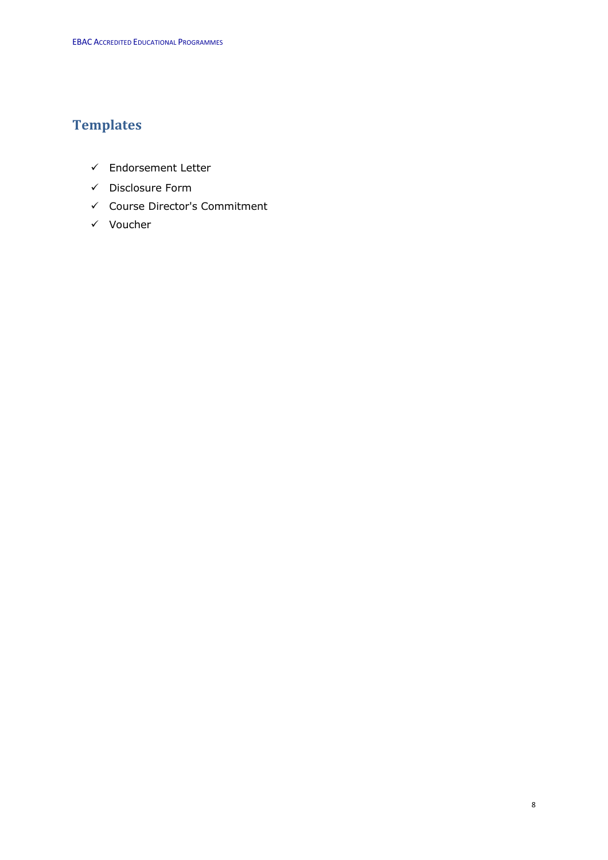# **Templates**

- $\checkmark$  Endorsement Letter
- ✓ Disclosure Form
- ← Course Director's Commitment
- √ Voucher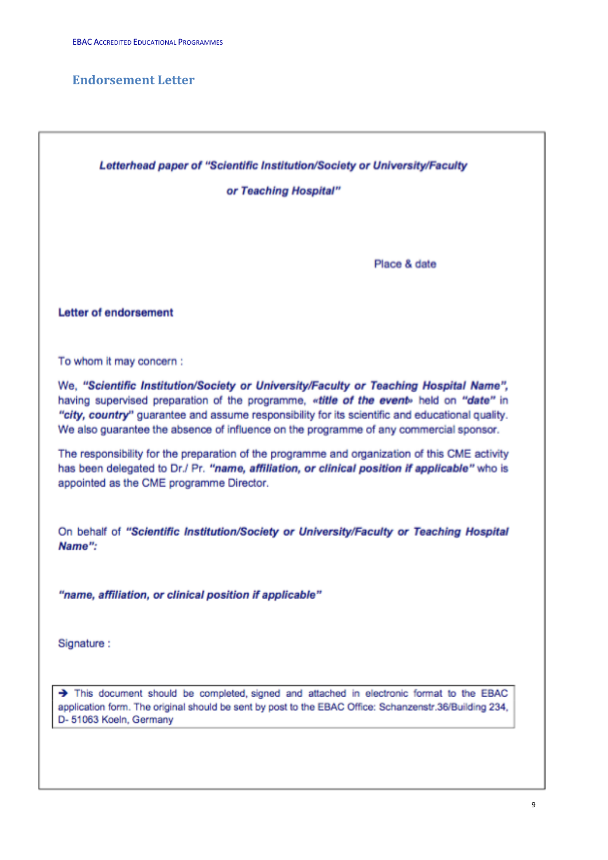## **Endorsement Letter**

Letterhead paper of "Scientific Institution/Society or University/Faculty or Teaching Hospital"

Place & date

**Letter of endorsement** 

To whom it may concern :

We. "Scientific Institution/Society or University/Faculty or Teaching Hospital Name". having supervised preparation of the programme, «title of the event» held on "date" in "city, country" quarantee and assume responsibility for its scientific and educational quality. We also guarantee the absence of influence on the programme of any commercial sponsor.

The responsibility for the preparation of the programme and organization of this CME activity has been delegated to Dr./ Pr. "name, affiliation, or clinical position if applicable" who is appointed as the CME programme Director.

On behalf of "Scientific Institution/Society or University/Faculty or Teaching Hospital Name":

"name, affiliation, or clinical position if applicable"

Signature:

> This document should be completed, signed and attached in electronic format to the EBAC application form. The original should be sent by post to the EBAC Office: Schanzenstr.36/Building 234, D- 51063 Koeln, Germany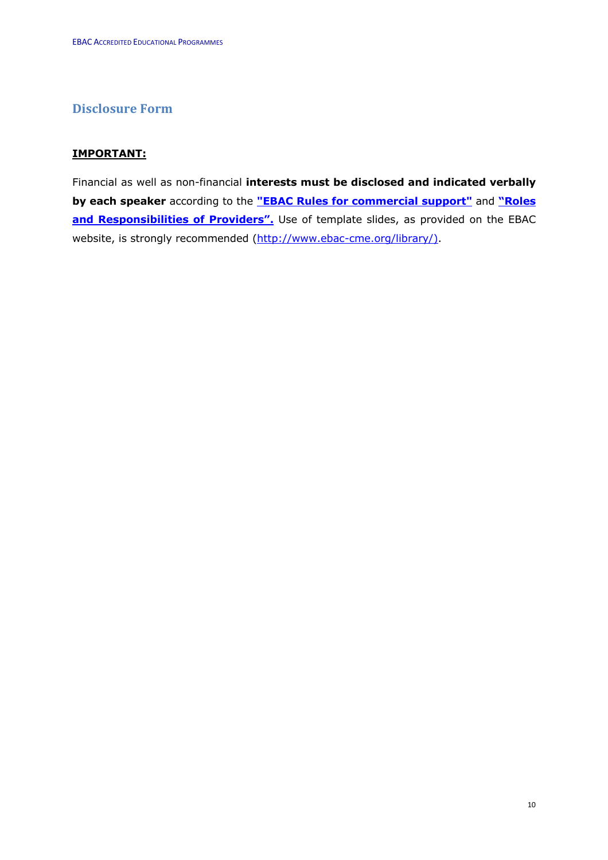# **Disclosure Form**

#### **IMPORTANT:**

Financial as well as non-financial **interests must be disclosed and indicated verbally by each speaker** according to the **"EBAC Rules for commercial support"** and **"Roles and Responsibilities of Providers".** Use of template slides, as provided on the EBAC website, is strongly recommended (http://www.ebac-cme.org/library/).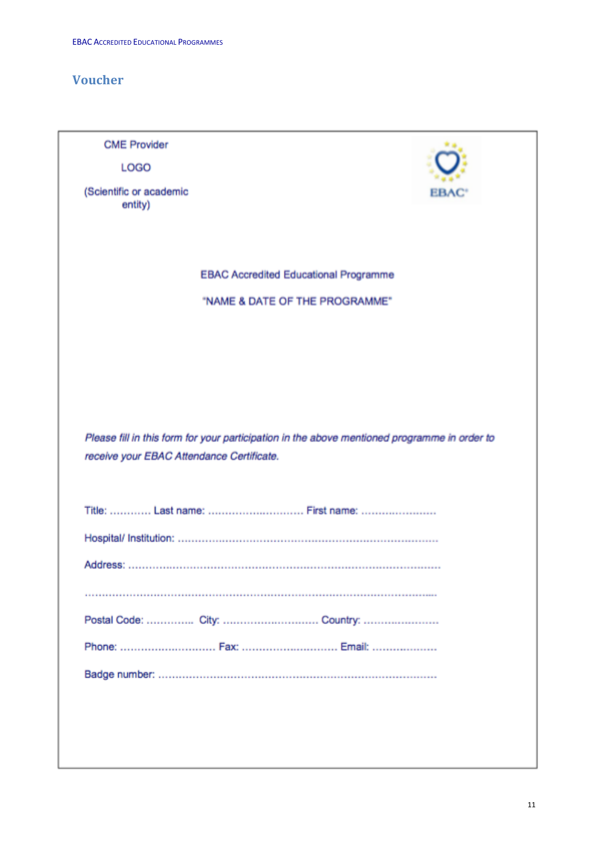# **Voucher**

**CME Provider** 

LOGO

(Scientific or academic entity)



**EBAC Accredited Educational Programme** 

## "NAME & DATE OF THE PROGRAMME"

Please fill in this form for your participation in the above mentioned programme in order to receive your EBAC Attendance Certificate.

| Title:  Last name:  First name: |
|---------------------------------|
|                                 |
|                                 |
|                                 |
| Postal Code:  City:  Country:   |
| Phone:  Fax:  Email:            |
|                                 |
|                                 |